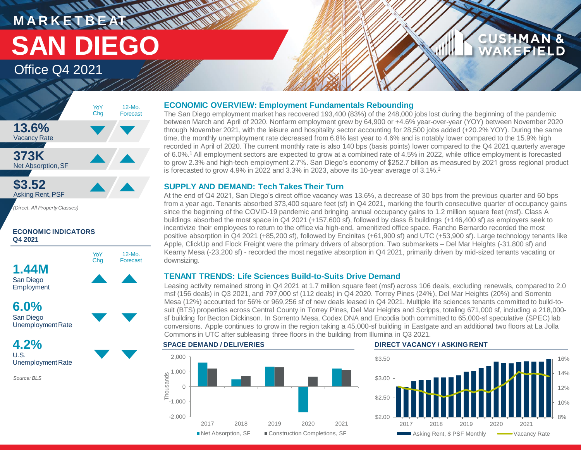# **MARKETBEAT MUNICIPAL** Office Q4 2021 **SAN DIEGO**

# **CUSHMAN & EFIELD**

# **13.6%** Vacancy Rate **373K** Net Absorption, SF **\$3.52** Asking Rent,PSF 12-Mo. Forecast YoY Chg

12-Mo. Forecast

*(Direct, All Property Classes)*

## **ECONOMIC INDICATORS Q4 2021**



**4.2%** U.S. Unemployment Rate

*Source: BLS*

# **ECONOMIC OVERVIEW: Employment Fundamentals Rebounding**

The San Diego employment market has recovered 193,400 (83%) of the 248,000 jobs lost during the beginning of the pandemic between March and April of 2020. Nonfarm employment grew by 64,900 or +4.6% year-over-year (YOY) between November 2020 through November 2021, with the leisure and hospitality sector accounting for 28,500 jobs added (+20.2% YOY). During the same time, the monthly unemployment rate decreased from 6.8% last year to 4.6% and is notably lower compared to the 15.9% high recorded in April of 2020. The current monthly rate is also 140 bps (basis points) lower compared to the Q4 2021 quarterly average of 6.0%.<sup>1</sup> All employment sectors are expected to grow at a combined rate of 4.5% in 2022, while office employment is forecasted to grow 2.3% and high-tech employment 2.7%. San Diego's economy of \$252.7 billion as measured by 2021 gross regional product is forecasted to grow 4.9% in 2022 and 3.3% in 2023, above its 10-year average of 3.1%.<sup>2</sup>

# **SUPPLY AND DEMAND: Tech Takes Their Turn**

At the end of Q4 2021, San Diego's direct office vacancy was 13.6%, a decrease of 30 bps from the previous quarter and 60 bps from a year ago. Tenants absorbed 373,400 square feet (sf) in Q4 2021, marking the fourth consecutive quarter of occupancy gains since the beginning of the COVID-19 pandemic and bringing annual occupancy gains to 1.2 million square feet (msf). Class A buildings absorbed the most space in Q4 2021 (+157,600 sf), followed by class B buildings (+146,400 sf) as employers seek to incentivize their employees to return to the office via high-end, amenitized office space. Rancho Bernardo recorded the most positive absorption in Q4 2021 (+85,200 sf), followed by Encinitas (+61,900 sf) and UTC (+53,900 sf). Large technology tenants like Apple, ClickUp and Flock Freight were the primary drivers of absorption. Two submarkets – Del Mar Heights (-31,800 sf) and Kearny Mesa (-23,200 sf) - recorded the most negative absorption in Q4 2021, primarily driven by mid-sized tenants vacating or downsizing.

# **TENANT TRENDS: Life Sciences Build-to-Suits Drive Demand**

Leasing activity remained strong in Q4 2021 at 1.7 million square feet (msf) across 106 deals, excluding renewals, compared to 2.0 msf (156 deals) in Q3 2021, and 797,000 sf (112 deals) in Q4 2020. Torrey Pines (24%), Del Mar Heights (20%) and Sorrento Mesa (12%) accounted for 56% or 969,256 sf of new deals leased in Q4 2021. Multiple life sciences tenants committed to build-tosuit (BTS) properties across Central County in Torrey Pines, Del Mar Heights and Scripps, totaling 671,000 sf, including a 218,000 sf building for Becton Dickinson. In Sorrento Mesa, Codex DNA and Encodia both committed to 65,000-sf speculative (SPEC) lab conversions. Apple continues to grow in the region taking a 45,000-sf building in Eastgate and an additional two floors at La Jolla Commons in UTC after subleasing three floors in the building from Illumina in Q3 2021.



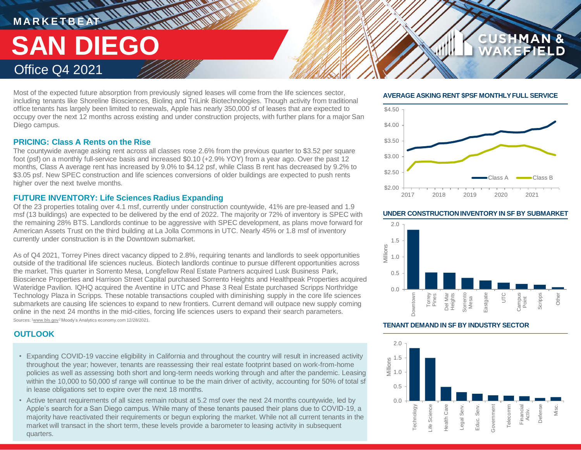# **M A R K E T B E AT** Office Q4 2021 **SAN DIEGO**

Most of the expected future absorption from previously signed leases will come from the life sciences sector, including tenants like Shoreline Biosciences, Biolinq and TriLink Biotechnologies. Though activity from traditional office tenants has largely been limited to renewals, Apple has nearly 350,000 sf of leases that are expected to occupy over the next 12 months across existing and under construction projects, with further plans for a major San Diego campus.

## **PRICING: Class A Rents on the Rise**

The countywide average asking rent across all classes rose 2.6% from the previous quarter to \$3.52 per square foot (psf) on a monthly full-service basis and increased \$0.10 (+2.9% YOY) from a year ago. Over the past 12 months, Class A average rent has increased by 9.0% to \$4.12 psf, while Class B rent has decreased by 9.2% to \$3.05 psf. New SPEC construction and life sciences conversions of older buildings are expected to push rents higher over the next twelve months.

# **FUTURE INVENTORY: Life Sciences Radius Expanding**

Of the 23 properties totaling over 4.1 msf, currently under construction countywide, 41% are pre-leased and 1.9 msf (13 buildings) are expected to be delivered by the end of 2022. The majority or 72% of inventory is SPEC with the remaining 28% BTS. Landlords continue to be aggressive with SPEC development, as plans move forward for American Assets Trust on the third building at La Jolla Commons in UTC. Nearly 45% or 1.8 msf of inventory currently under construction is in the Downtown submarket.

As of Q4 2021, Torrey Pines direct vacancy dipped to 2.8%, requiring tenants and landlords to seek opportunities outside of the traditional life sciences nucleus. Biotech landlords continue to pursue different opportunities across the market. This quarter in Sorrento Mesa, Longfellow Real Estate Partners acquired Lusk Business Park, Bioscience Properties and Harrison Street Capital purchased Sorrento Heights and Healthpeak Properties acquired Wateridge Pavilion. IQHQ acquired the Aventine in UTC and Phase 3 Real Estate purchased Scripps Northridge Technology Plaza in Scripps. These notable transactions coupled with diminishing supply in the core life sciences submarkets are causing life sciences to expand to new frontiers. Current demand will outpace new supply coming online in the next 24 months in the mid-cities, forcing life sciences users to expand their search parameters. Sources: <sup>1</sup>www.bls.gov<sup>2</sup> Moody's Analytics economy.com 12/28/2021.

# **OUTLOOK**

- Expanding COVID-19 vaccine eligibility in California and throughout the country will result in increased activity throughout the year; however, tenants are reassessing their real estate footprint based on work-from-home policies as well as assessing both short and long-term needs working through and after the pandemic. Leasing within the 10,000 to 50,000 sf range will continue to be the main driver of activity, accounting for 50% of total sf in lease obligations set to expire over the next 18 months.
- Active tenant requirements of all sizes remain robust at 5.2 msf over the next 24 months countywide, led by Apple's search for a San Diego campus. While many of these tenants paused their plans due to COVID-19, a majority have reactivated their requirements or begun exploring the market. While not all current tenants in the market will transact in the short term, these levels provide a barometer to leasing activity in subsequent quarters.

### **AVERAGE ASKING RENT \$PSF MONTHLY FULL SERVICE**

**CUSHMAN &** 

EFIELD



#### **UNDER CONSTRUCTION INVENTORY IN SF BY SUBMARKET**



#### **TENANT DEMAND IN SF BY INDUSTRY SECTOR**

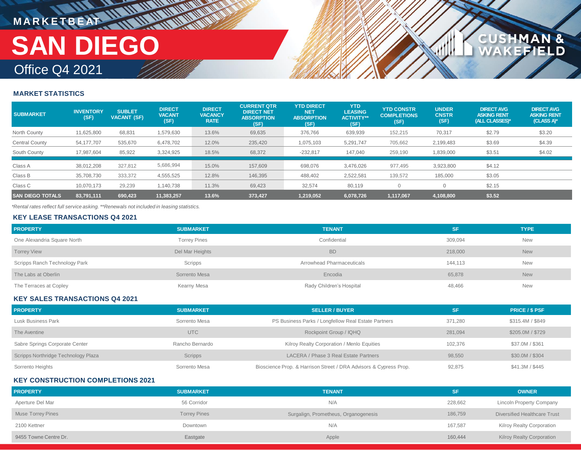# **MARKETBEAT IN IN IN IN IN IN IN** Office Q4 2021 **SAN DIEGO**

### **MARKET STATISTICS**

| <b>SUBMARKET</b>        | <b>INVENTORY</b><br>(SF) | <b>SUBLET</b><br><b>VACANT (SF)</b> | <b>DIRECT</b><br><b>VACANT</b><br>(SF) | <b>DIRECT</b><br><b>VACANCY</b><br><b>RATE</b> | <b>CURRENT QTR</b><br><b>DIRECT NET</b><br><b>ABSORPTION</b><br>(SF) | <b>YTD DIRECT</b><br><b>NET</b><br><b>ABSORPTION</b><br>(SF) | <b>YTD</b><br><b>LEASING</b><br><b>ACTIVITY**</b><br>(SF) | <b>YTD CONSTR</b><br><b>COMPLETIONS</b><br>(SF) | <b>UNDER</b><br><b>CNSTR</b><br>(SF) | <b>DIRECT AVG</b><br><b>ASKING RENT</b><br>(ALL CLASSES)* | <b>DIRECT AVG</b><br><b>ASKING RENT</b><br>$(CLASS A)*$ |
|-------------------------|--------------------------|-------------------------------------|----------------------------------------|------------------------------------------------|----------------------------------------------------------------------|--------------------------------------------------------------|-----------------------------------------------------------|-------------------------------------------------|--------------------------------------|-----------------------------------------------------------|---------------------------------------------------------|
| North County            | 11,625,800               | 68,831                              | 1,579,630                              | 13.6%                                          | 69,635                                                               | 376,766                                                      | 639,939                                                   | 152,215                                         | 70,317                               | \$2.79                                                    | \$3.20                                                  |
| Central County          | 54,177,707               | 535,670                             | 6,478,702                              | 12.0%                                          | 235,420                                                              | 075,103                                                      | 5,291,747                                                 | 705,662                                         | 2,199,483                            | \$3.69                                                    | \$4.39                                                  |
| South County            | 17,987,604               | 85,922                              | 3,324,925                              | 18.5%                                          | 68,372                                                               | $-232,817$                                                   | 147,040                                                   | 259,190                                         | 1,839,000                            | \$3.51                                                    | \$4.02                                                  |
| Class A                 | 38,012,208               | 327.812                             | 5,686,994                              | 15.0%                                          | 157,609                                                              | 698,076                                                      | 3,476,026                                                 | 977.495                                         | 3,923,800                            | \$4.12                                                    |                                                         |
| Class B                 | 35,708,730               | 333,372                             | 4,555,525                              | 12.8%                                          | 146,395                                                              | 488,402                                                      | 2,522,581                                                 | 139,572                                         | 185,000                              | \$3.05                                                    |                                                         |
| Class C                 | 10,070,173               | 29,239                              | 1,140,738                              | 11.3%                                          | 69,423                                                               | 32,574                                                       | 80,119                                                    |                                                 |                                      | \$2.15                                                    |                                                         |
| <b>SAN DIEGO TOTALS</b> | 83,791,111               | 690,423                             | 11,383,257                             | 13.6%                                          | 373,427                                                              | 1,219,052                                                    | 6,078,726                                                 | 1,117,067                                       | 4,108,800                            | \$3.52                                                    |                                                         |

**CUSHMAN &<br>WAKEFIELD** 

*\*Rental rates reflect full service asking. \*\*Renewals not included in leasing statistics.*

### **KEY LEASE TRANSACTIONS Q4 2021**

| <b>PROPERTY</b>               | <b>SUBMARKET</b>    | <b>TENANT</b>             | <b>SF</b> | <b>TYPE</b> |
|-------------------------------|---------------------|---------------------------|-----------|-------------|
| One Alexandria Square North   | <b>Torrey Pines</b> | Confidential              | 309,094   | New         |
| <b>Torrey View</b>            | Del Mar Heights     | <b>BD</b>                 | 218,000   | <b>New</b>  |
| Scripps Ranch Technology Park | Scripps             | Arrowhead Pharmaceuticals | 144,113   | New         |
| The Labs at Oberlin           | Sorrento Mesa       | Encodia                   | 65,878    | <b>New</b>  |
| The Terraces at Copley        | Kearny Mesa         | Rady Children's Hospital  | 48,466    | <b>New</b>  |

#### **KEY SALES TRANSACTIONS Q4 2021**

| <b>PROPERTY</b>                     | <b>SUBMARKET</b> | <b>SELLER / BUYER</b>                                             | SF      | <b>PRICE / \$ PSF</b> |
|-------------------------------------|------------------|-------------------------------------------------------------------|---------|-----------------------|
| Lusk Business Park                  | Sorrento Mesa    | PS Business Parks / Longfellow Real Estate Partners               | 371.280 | \$315.4M / \$849      |
| The Aventine                        | <b>UTC</b>       | Rockpoint Group / IQHQ                                            | 281.094 | \$205,0M / \$729      |
| Sabre Springs Corporate Center      | Rancho Bernardo  | Kilroy Realty Corporation / Menlo Equities                        | 102.376 | \$37.0M / \$361       |
| Scripps Northridge Technology Plaza | <b>Scripps</b>   | LACERA / Phase 3 Real Estate Partners                             | 98,550  | \$30.0M / \$304       |
| Sorrento Heights                    | Sorrento Mesa    | Bioscience Prop. & Harrison Street / DRA Advisors & Cypress Prop. | 92,875  | \$41.3M / \$445       |

#### **KEY CONSTRUCTION COMPLETIONS 2021**

| <b>PROPERTY</b>          | <b>SUBMARKET</b>    | <b>TENANT</b>                        | SF      | <b>OWNER</b>                     |
|--------------------------|---------------------|--------------------------------------|---------|----------------------------------|
| Aperture Del Mar         | 56 Corridor         | N/A                                  | 228,662 | <b>Lincoln Property Company</b>  |
| <b>Muse Torrey Pines</b> | <b>Torrey Pines</b> | Surgalign, Prometheus, Organogenesis | 186,759 | Diversified Healthcare Trust     |
| 2100 Kettner             | Downtown            | N/A                                  | 167,587 | Kilroy Realty Corporation        |
| 9455 Towne Centre Dr.    | Eastgate            | Apple                                | 160,444 | <b>Kilroy Realty Corporation</b> |